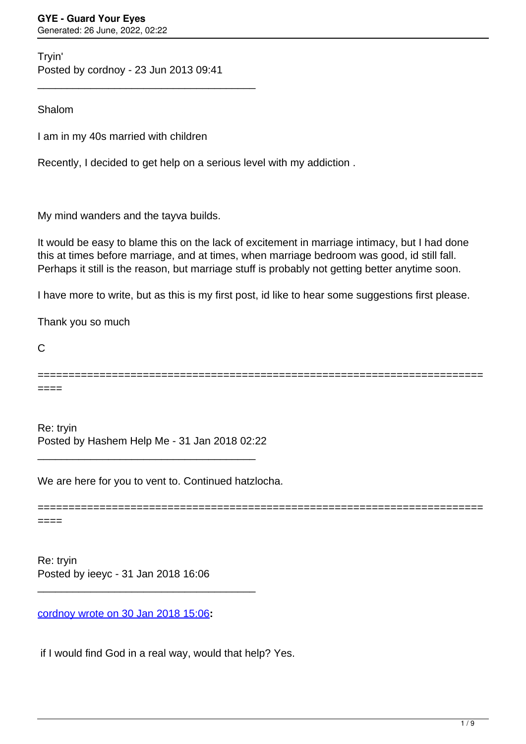Tryin' Posted by cordnoy - 23 Jun 2013 09:41

\_\_\_\_\_\_\_\_\_\_\_\_\_\_\_\_\_\_\_\_\_\_\_\_\_\_\_\_\_\_\_\_\_\_\_\_\_

Shalom

I am in my 40s married with children

Recently, I decided to get help on a serious level with my addiction .

My mind wanders and the tayva builds.

It would be easy to blame this on the lack of excitement in marriage intimacy, but I had done this at times before marriage, and at times, when marriage bedroom was good, id still fall. Perhaps it still is the reason, but marriage stuff is probably not getting better anytime soon.

I have more to write, but as this is my first post, id like to hear some suggestions first please.

Thank you so much

C

========================================================================

====

Re: tryin Posted by Hashem Help Me - 31 Jan 2018 02:22

\_\_\_\_\_\_\_\_\_\_\_\_\_\_\_\_\_\_\_\_\_\_\_\_\_\_\_\_\_\_\_\_\_\_\_\_\_

We are here for you to vent to. Continued hatzlocha.

======================================================================== ====

Re: tryin Posted by ieeyc - 31 Jan 2018 16:06

[cordnoy wrote on 30 Jan 2018 15:06](/forum/1-Break-Free/326157-Re-tryin)**:**

\_\_\_\_\_\_\_\_\_\_\_\_\_\_\_\_\_\_\_\_\_\_\_\_\_\_\_\_\_\_\_\_\_\_\_\_\_

if I would find God in a real way, would that help? Yes.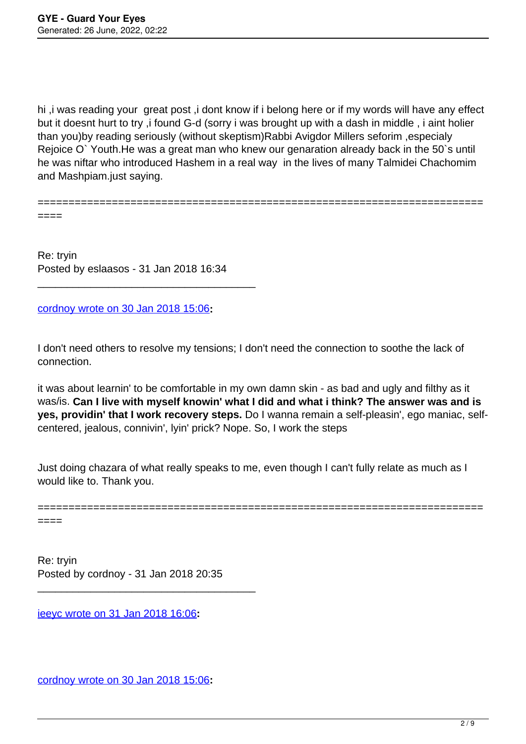hi ,i was reading your great post ,i dont know if i belong here or if my words will have any effect but it doesnt hurt to try ,i found G-d (sorry i was brought up with a dash in middle , i aint holier than you)by reading seriously (without skeptism)Rabbi Avigdor Millers seforim ,especialy Rejoice O` Youth.He was a great man who knew our genaration already back in the 50`s until he was niftar who introduced Hashem in a real way in the lives of many Talmidei Chachomim and Mashpiam.just saying.

========================================================================

====

Re: tryin Posted by eslaasos - 31 Jan 2018 16:34

\_\_\_\_\_\_\_\_\_\_\_\_\_\_\_\_\_\_\_\_\_\_\_\_\_\_\_\_\_\_\_\_\_\_\_\_\_

[cordnoy wrote on 30 Jan 2018 15:06](/forum/1-Break-Free/326157-Re-tryin)**:**

I don't need others to resolve my tensions; I don't need the connection to soothe the lack of connection.

it was about learnin' to be comfortable in my own damn skin - as bad and ugly and filthy as it was/is. **Can I live with myself knowin' what I did and what i think? The answer was and is yes, providin' that I work recovery steps.** Do I wanna remain a self-pleasin', ego maniac, selfcentered, jealous, connivin', lyin' prick? Nope. So, I work the steps

Just doing chazara of what really speaks to me, even though I can't fully relate as much as I would like to. Thank you.

======================================================================== ====

Re: tryin Posted by cordnoy - 31 Jan 2018 20:35

\_\_\_\_\_\_\_\_\_\_\_\_\_\_\_\_\_\_\_\_\_\_\_\_\_\_\_\_\_\_\_\_\_\_\_\_\_

[ieeyc wrote on 31 Jan 2018 16:06](/forum/1-Break-Free/326236-Re-tryin)**:**

[cordnoy wrote on 30 Jan 2018 15:06](/forum/1-Break-Free/326157-Re-tryin)**:**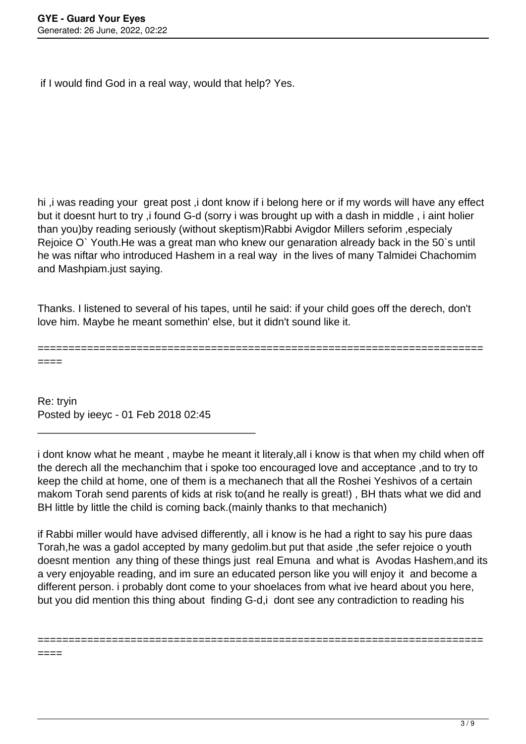if I would find God in a real way, would that help? Yes.

hi ,i was reading your great post ,i dont know if i belong here or if my words will have any effect but it doesnt hurt to try ,i found G-d (sorry i was brought up with a dash in middle , i aint holier than you)by reading seriously (without skeptism)Rabbi Avigdor Millers seforim ,especialy Rejoice O` Youth.He was a great man who knew our genaration already back in the 50`s until he was niftar who introduced Hashem in a real way in the lives of many Talmidei Chachomim and Mashpiam.just saying.

Thanks. I listened to several of his tapes, until he said: if your child goes off the derech, don't love him. Maybe he meant somethin' else, but it didn't sound like it.

======================================================================== ====

====

Re: tryin Posted by ieeyc - 01 Feb 2018 02:45

\_\_\_\_\_\_\_\_\_\_\_\_\_\_\_\_\_\_\_\_\_\_\_\_\_\_\_\_\_\_\_\_\_\_\_\_\_

i dont know what he meant , maybe he meant it literaly,all i know is that when my child when off the derech all the mechanchim that i spoke too encouraged love and acceptance ,and to try to keep the child at home, one of them is a mechanech that all the Roshei Yeshivos of a certain makom Torah send parents of kids at risk to(and he really is great!) , BH thats what we did and BH little by little the child is coming back.(mainly thanks to that mechanich)

if Rabbi miller would have advised differently, all i know is he had a right to say his pure daas Torah,he was a gadol accepted by many gedolim.but put that aside ,the sefer rejoice o youth doesnt mention any thing of these things just real Emuna and what is Avodas Hashem,and its a very enjoyable reading, and im sure an educated person like you will enjoy it and become a different person. i probably dont come to your shoelaces from what ive heard about you here, but you did mention this thing about finding G-d,i dont see any contradiction to reading his

========================================================================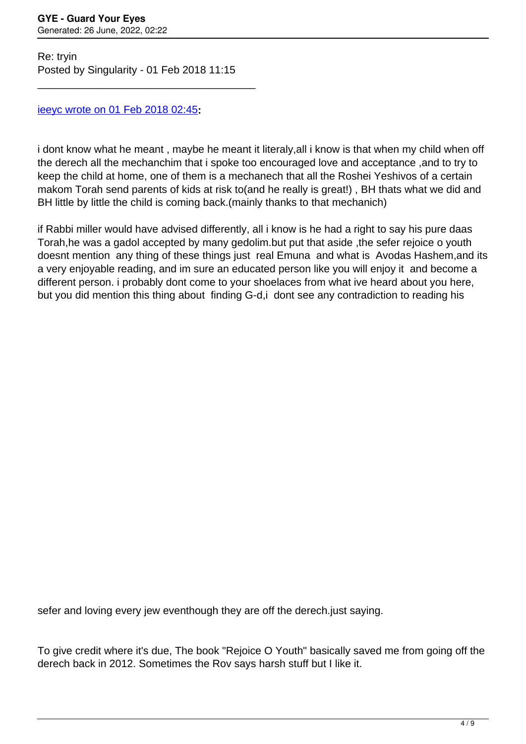Re: tryin Posted by Singularity - 01 Feb 2018 11:15

\_\_\_\_\_\_\_\_\_\_\_\_\_\_\_\_\_\_\_\_\_\_\_\_\_\_\_\_\_\_\_\_\_\_\_\_\_

## [ieeyc wrote on 01 Feb 2018 02:45](/forum/1-Break-Free/326266-Re-tryin)**:**

i dont know what he meant , maybe he meant it literaly,all i know is that when my child when off the derech all the mechanchim that i spoke too encouraged love and acceptance ,and to try to keep the child at home, one of them is a mechanech that all the Roshei Yeshivos of a certain makom Torah send parents of kids at risk to(and he really is great!) , BH thats what we did and BH little by little the child is coming back.(mainly thanks to that mechanich)

if Rabbi miller would have advised differently, all i know is he had a right to say his pure daas Torah,he was a gadol accepted by many gedolim.but put that aside ,the sefer rejoice o youth doesnt mention any thing of these things just real Emuna and what is Avodas Hashem,and its a very enjoyable reading, and im sure an educated person like you will enjoy it and become a different person. i probably dont come to your shoelaces from what ive heard about you here, but you did mention this thing about finding G-d,i dont see any contradiction to reading his

sefer and loving every jew eventhough they are off the derech.just saying.

To give credit where it's due, The book "Rejoice O Youth" basically saved me from going off the derech back in 2012. Sometimes the Rov says harsh stuff but I like it.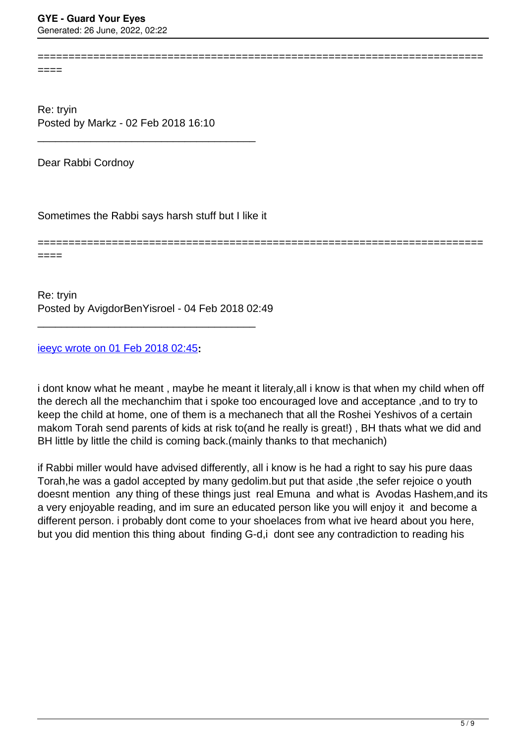====

Re: tryin Posted by Markz - 02 Feb 2018 16:10

Dear Rabbi Cordnoy

Sometimes the Rabbi says harsh stuff but I like it

\_\_\_\_\_\_\_\_\_\_\_\_\_\_\_\_\_\_\_\_\_\_\_\_\_\_\_\_\_\_\_\_\_\_\_\_\_

======================================================================== ====

========================================================================

Re: tryin Posted by AvigdorBenYisroel - 04 Feb 2018 02:49

\_\_\_\_\_\_\_\_\_\_\_\_\_\_\_\_\_\_\_\_\_\_\_\_\_\_\_\_\_\_\_\_\_\_\_\_\_

[ieeyc wrote on 01 Feb 2018 02:45](/forum/1-Break-Free/326266-Re-tryin)**:**

i dont know what he meant , maybe he meant it literaly,all i know is that when my child when off the derech all the mechanchim that i spoke too encouraged love and acceptance ,and to try to keep the child at home, one of them is a mechanech that all the Roshei Yeshivos of a certain makom Torah send parents of kids at risk to(and he really is great!) , BH thats what we did and BH little by little the child is coming back.(mainly thanks to that mechanich)

if Rabbi miller would have advised differently, all i know is he had a right to say his pure daas Torah,he was a gadol accepted by many gedolim.but put that aside ,the sefer rejoice o youth doesnt mention any thing of these things just real Emuna and what is Avodas Hashem,and its a very enjoyable reading, and im sure an educated person like you will enjoy it and become a different person. i probably dont come to your shoelaces from what ive heard about you here, but you did mention this thing about finding G-d,i dont see any contradiction to reading his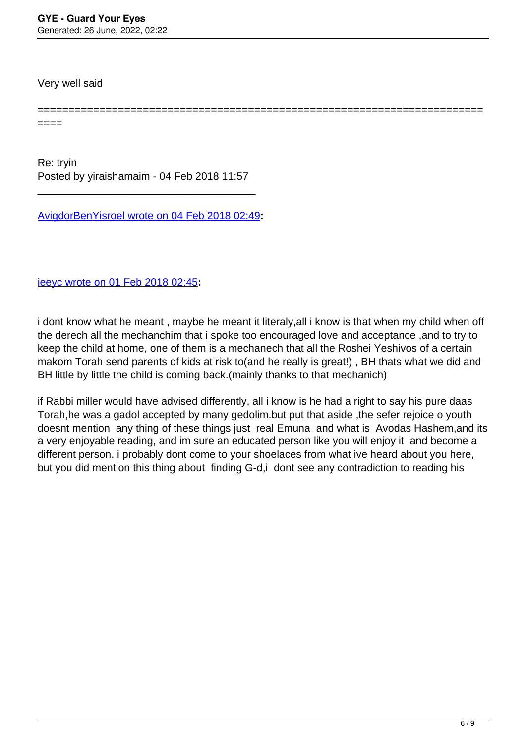Very well said

====

Re: tryin Posted by yiraishamaim - 04 Feb 2018 11:57

\_\_\_\_\_\_\_\_\_\_\_\_\_\_\_\_\_\_\_\_\_\_\_\_\_\_\_\_\_\_\_\_\_\_\_\_\_

[AvigdorBenYisroel wrote on 04 Feb 2018 02:49](/forum/1-Break-Free/326379-Re-tryin)**:**

[ieeyc wrote on 01 Feb 2018 02:45](/forum/1-Break-Free/326266-Re-tryin)**:**

i dont know what he meant , maybe he meant it literaly,all i know is that when my child when off the derech all the mechanchim that i spoke too encouraged love and acceptance ,and to try to keep the child at home, one of them is a mechanech that all the Roshei Yeshivos of a certain makom Torah send parents of kids at risk to(and he really is great!) , BH thats what we did and BH little by little the child is coming back.(mainly thanks to that mechanich)

========================================================================

if Rabbi miller would have advised differently, all i know is he had a right to say his pure daas Torah,he was a gadol accepted by many gedolim.but put that aside ,the sefer rejoice o youth doesnt mention any thing of these things just real Emuna and what is Avodas Hashem,and its a very enjoyable reading, and im sure an educated person like you will enjoy it and become a different person. i probably dont come to your shoelaces from what ive heard about you here, but you did mention this thing about finding G-d,i dont see any contradiction to reading his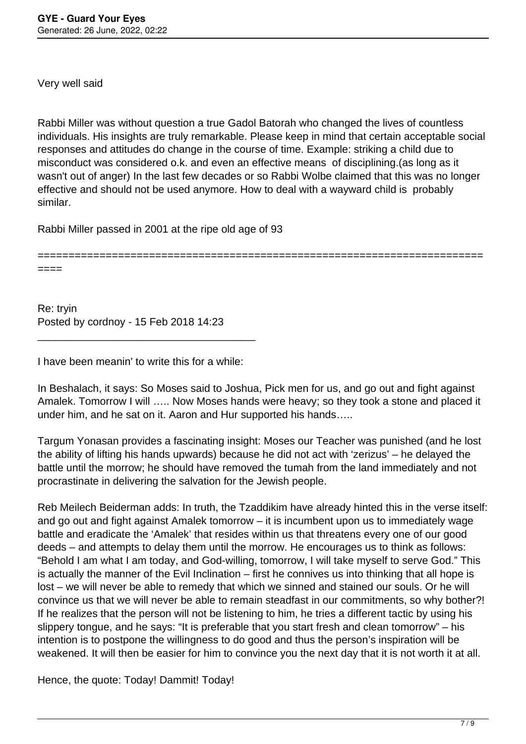Very well said

Rabbi Miller was without question a true Gadol Batorah who changed the lives of countless individuals. His insights are truly remarkable. Please keep in mind that certain acceptable social responses and attitudes do change in the course of time. Example: striking a child due to misconduct was considered o.k. and even an effective means of disciplining.(as long as it wasn't out of anger) In the last few decades or so Rabbi Wolbe claimed that this was no longer effective and should not be used anymore. How to deal with a wayward child is probably similar.

Rabbi Miller passed in 2001 at the ripe old age of 93

======================================================================== ====

Re: tryin Posted by cordnoy - 15 Feb 2018 14:23

I have been meanin' to write this for a while:

\_\_\_\_\_\_\_\_\_\_\_\_\_\_\_\_\_\_\_\_\_\_\_\_\_\_\_\_\_\_\_\_\_\_\_\_\_

In Beshalach, it says: So Moses said to Joshua, Pick men for us, and go out and fight against Amalek. Tomorrow I will ….. Now Moses hands were heavy; so they took a stone and placed it under him, and he sat on it. Aaron and Hur supported his hands…..

Targum Yonasan provides a fascinating insight: Moses our Teacher was punished (and he lost the ability of lifting his hands upwards) because he did not act with 'zerizus' – he delayed the battle until the morrow; he should have removed the tumah from the land immediately and not procrastinate in delivering the salvation for the Jewish people.

Reb Meilech Beiderman adds: In truth, the Tzaddikim have already hinted this in the verse itself: and go out and fight against Amalek tomorrow – it is incumbent upon us to immediately wage battle and eradicate the 'Amalek' that resides within us that threatens every one of our good deeds – and attempts to delay them until the morrow. He encourages us to think as follows: "Behold I am what I am today, and God-willing, tomorrow, I will take myself to serve God." This is actually the manner of the Evil Inclination – first he connives us into thinking that all hope is lost – we will never be able to remedy that which we sinned and stained our souls. Or he will convince us that we will never be able to remain steadfast in our commitments, so why bother?! If he realizes that the person will not be listening to him, he tries a different tactic by using his slippery tongue, and he says: "It is preferable that you start fresh and clean tomorrow" – his intention is to postpone the willingness to do good and thus the person's inspiration will be weakened. It will then be easier for him to convince you the next day that it is not worth it at all.

Hence, the quote: Today! Dammit! Today!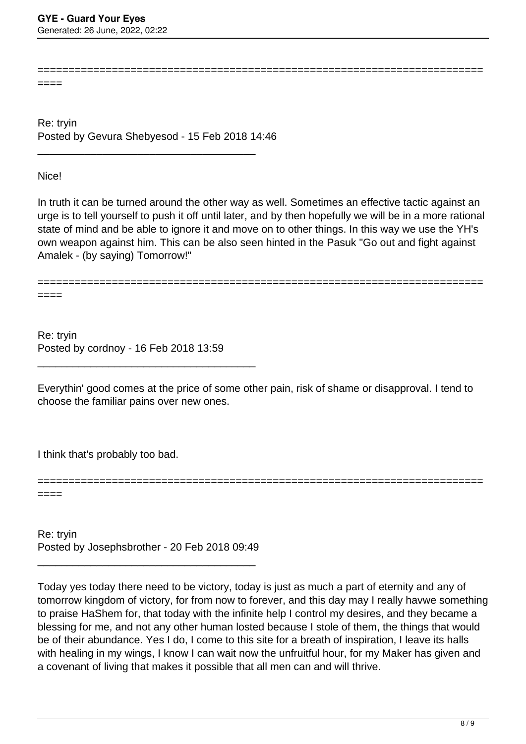====

Re: tryin Posted by Gevura Shebyesod - 15 Feb 2018 14:46

\_\_\_\_\_\_\_\_\_\_\_\_\_\_\_\_\_\_\_\_\_\_\_\_\_\_\_\_\_\_\_\_\_\_\_\_\_

Nice!

In truth it can be turned around the other way as well. Sometimes an effective tactic against an urge is to tell yourself to push it off until later, and by then hopefully we will be in a more rational state of mind and be able to ignore it and move on to other things. In this way we use the YH's own weapon against him. This can be also seen hinted in the Pasuk "Go out and fight against Amalek - (by saying) Tomorrow!"

========================================================================

======================================================================== ====

Re: tryin Posted by cordnoy - 16 Feb 2018 13:59

\_\_\_\_\_\_\_\_\_\_\_\_\_\_\_\_\_\_\_\_\_\_\_\_\_\_\_\_\_\_\_\_\_\_\_\_\_

Everythin' good comes at the price of some other pain, risk of shame or disapproval. I tend to choose the familiar pains over new ones.

========================================================================

I think that's probably too bad.

====

Re: tryin Posted by Josephsbrother - 20 Feb 2018 09:49

\_\_\_\_\_\_\_\_\_\_\_\_\_\_\_\_\_\_\_\_\_\_\_\_\_\_\_\_\_\_\_\_\_\_\_\_\_

Today yes today there need to be victory, today is just as much a part of eternity and any of tomorrow kingdom of victory, for from now to forever, and this day may I really havwe something to praise HaShem for, that today with the infinite help I control my desires, and they became a blessing for me, and not any other human losted because I stole of them, the things that would be of their abundance. Yes I do, I come to this site for a breath of inspiration, I leave its halls with healing in my wings, I know I can wait now the unfruitful hour, for my Maker has given and a covenant of living that makes it possible that all men can and will thrive.